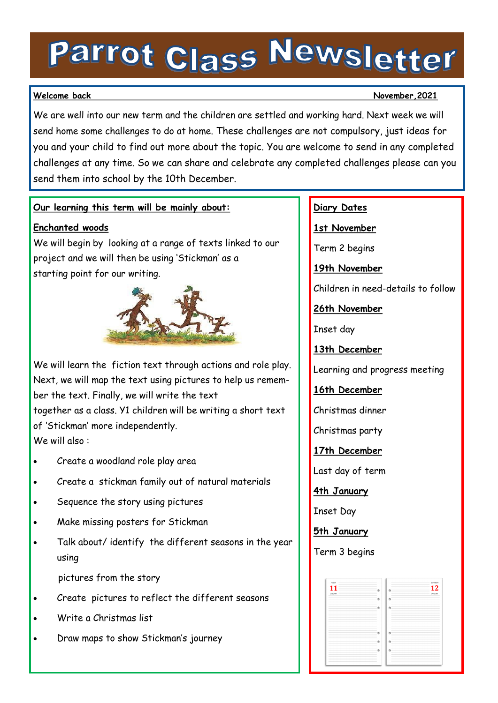# Parrot Class Newsletter

### **Welcome back November,2021**

We are well into our new term and the children are settled and working hard. Next week we will send home some challenges to do at home. These challenges are not compulsory, just ideas for you and your child to find out more about the topic. You are welcome to send in any completed challenges at any time. So we can share and celebrate any completed challenges please can you send them into school by the 10th December.

# **Our learning this term will be mainly about:**

# **Enchanted woods**

We will begin by looking at a range of texts linked to our project and we will then be using 'Stickman' as a starting point for our writing.



We will learn the fiction text through actions and role play. Next, we will map the text using pictures to help us remember the text. Finally, we will write the text together as a class. Y1 children will be writing a short text of 'Stickman' more independently. We will also :

- Create a woodland role play area
- Create a stickman family out of natural materials
- Sequence the story using pictures
- Make missing posters for Stickman
- Talk about/ identify the different seasons in the year using

pictures from the story

- Create pictures to reflect the different seasons
- Write a Christmas list
- Draw maps to show Stickman's journey

# **Diary Dates**

**1st November**

Term 2 begins

**19th November**

Children in need-details to follow

**26th November**

Inset day

**13th December**

Learning and progress meeting

**16th December**

Christmas dinner

Christmas party

**17th December**

Last day of term

**4th January**

Inset Day

**5th January**

Term 3 begins